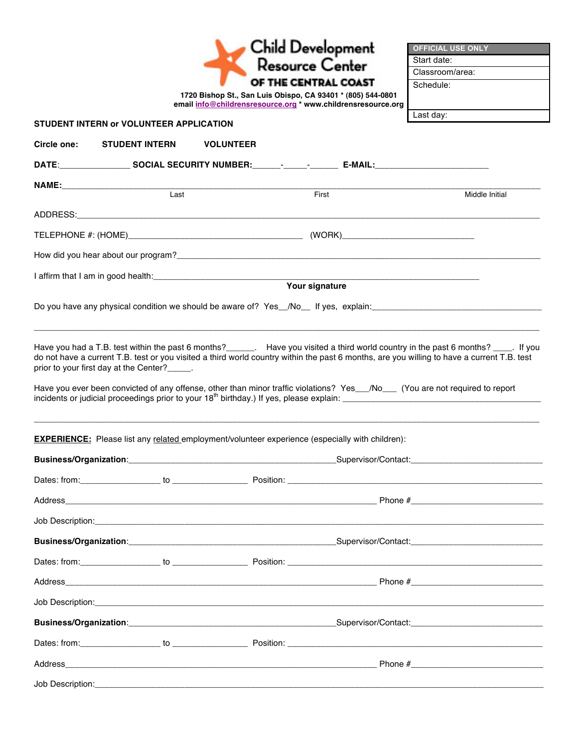|                                                                                                                                                                                                                               |      | <b>Child Development</b><br>Resource Center<br>OF THE CENTRAL COAST<br>1720 Bishop St., San Luis Obispo, CA 93401 * (805) 544-0801<br>email info@childrensresource.org * www.childrensresource.org                                                                                                                                                                                                    | <b>OFFICIAL USE ONLY</b><br>Start date:<br>Classroom/area:<br>Schedule: |
|-------------------------------------------------------------------------------------------------------------------------------------------------------------------------------------------------------------------------------|------|-------------------------------------------------------------------------------------------------------------------------------------------------------------------------------------------------------------------------------------------------------------------------------------------------------------------------------------------------------------------------------------------------------|-------------------------------------------------------------------------|
| STUDENT INTERN or VOLUNTEER APPLICATION                                                                                                                                                                                       |      |                                                                                                                                                                                                                                                                                                                                                                                                       | Last day:                                                               |
| Circle one:<br><b>STUDENT INTERN</b>                                                                                                                                                                                          |      | <b>VOLUNTEER</b>                                                                                                                                                                                                                                                                                                                                                                                      |                                                                         |
|                                                                                                                                                                                                                               |      |                                                                                                                                                                                                                                                                                                                                                                                                       |                                                                         |
|                                                                                                                                                                                                                               |      |                                                                                                                                                                                                                                                                                                                                                                                                       |                                                                         |
|                                                                                                                                                                                                                               | Last | First                                                                                                                                                                                                                                                                                                                                                                                                 | Middle Initial                                                          |
|                                                                                                                                                                                                                               |      |                                                                                                                                                                                                                                                                                                                                                                                                       |                                                                         |
|                                                                                                                                                                                                                               |      |                                                                                                                                                                                                                                                                                                                                                                                                       |                                                                         |
|                                                                                                                                                                                                                               |      |                                                                                                                                                                                                                                                                                                                                                                                                       |                                                                         |
| I affirm that I am in good health: [14] and the same state of the state of the state of the state of the state of the state of the state of the state of the state of the state of the state of the state of the state of the |      | Vour signature                                                                                                                                                                                                                                                                                                                                                                                        |                                                                         |
|                                                                                                                                                                                                                               |      |                                                                                                                                                                                                                                                                                                                                                                                                       |                                                                         |
| prior to your first day at the Center?______.                                                                                                                                                                                 |      | Have you had a T.B. test within the past 6 months?<br>Lave you visited a third world country in the past 6 you. If you<br>do not have a current T.B. test or you visited a third world country within the past 6 months, are you willing to have a current T.B. test<br>Have you ever been convicted of any offense, other than minor traffic violations? Yes__/No___ (You are not required to report |                                                                         |
|                                                                                                                                                                                                                               |      | <b>EXPERIENCE:</b> Please list any related employment/volunteer experience (especially with children):                                                                                                                                                                                                                                                                                                |                                                                         |
|                                                                                                                                                                                                                               |      |                                                                                                                                                                                                                                                                                                                                                                                                       |                                                                         |
|                                                                                                                                                                                                                               |      |                                                                                                                                                                                                                                                                                                                                                                                                       |                                                                         |
|                                                                                                                                                                                                                               |      |                                                                                                                                                                                                                                                                                                                                                                                                       |                                                                         |
|                                                                                                                                                                                                                               |      |                                                                                                                                                                                                                                                                                                                                                                                                       |                                                                         |
|                                                                                                                                                                                                                               |      |                                                                                                                                                                                                                                                                                                                                                                                                       |                                                                         |
|                                                                                                                                                                                                                               |      |                                                                                                                                                                                                                                                                                                                                                                                                       |                                                                         |
|                                                                                                                                                                                                                               |      | Job Description: <u>contract the contract of the contract of the contract of the contract of the contract of the contract of the contract of the contract of the contract of the contract of the contract of the contract of the</u>                                                                                                                                                                  |                                                                         |
|                                                                                                                                                                                                                               |      |                                                                                                                                                                                                                                                                                                                                                                                                       |                                                                         |
|                                                                                                                                                                                                                               |      |                                                                                                                                                                                                                                                                                                                                                                                                       |                                                                         |
|                                                                                                                                                                                                                               |      |                                                                                                                                                                                                                                                                                                                                                                                                       |                                                                         |
|                                                                                                                                                                                                                               |      |                                                                                                                                                                                                                                                                                                                                                                                                       |                                                                         |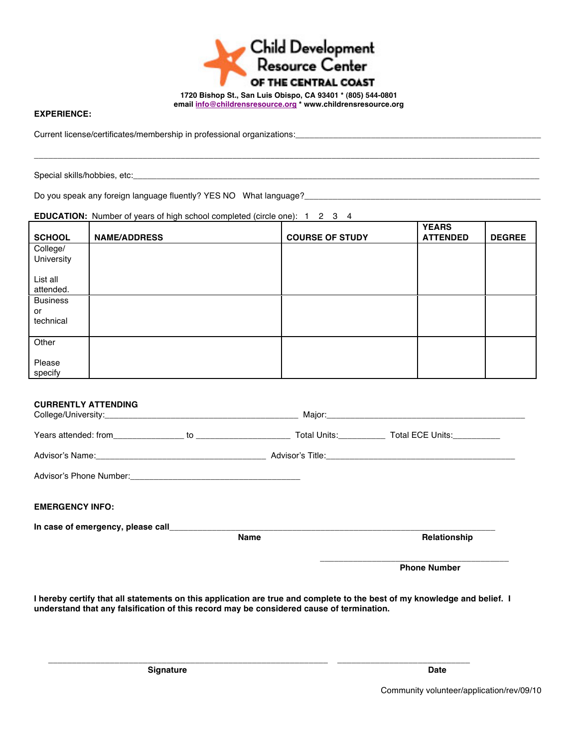

\_\_\_\_\_\_\_\_\_\_\_\_\_\_\_\_\_\_\_\_\_\_\_\_\_\_\_\_\_\_\_\_\_\_\_\_\_\_\_\_\_\_\_\_\_\_\_\_\_\_\_\_\_\_\_\_\_\_\_\_\_\_\_\_\_\_\_\_\_\_\_\_\_\_\_\_\_\_\_\_\_\_\_\_\_\_\_\_\_\_\_\_\_\_\_\_\_\_\_\_\_\_\_\_\_\_\_

## **EXPERIENCE:**

Current license/certificates/membership in professional organizations:\_\_\_\_\_\_\_\_\_\_

Special skills/hobbies, etc:

Do you speak any foreign language fluently? YES NO What language?\_\_\_\_\_\_\_\_\_\_\_\_\_\_\_\_\_\_\_\_\_\_\_\_\_\_\_\_\_\_\_\_\_\_\_\_\_\_\_\_\_\_\_\_\_\_\_\_\_\_

## **EDUCATION:** Number of years of high school completed (circle one): 1 2 3 4

| <b>SCHOOL</b>         | <b>NAME/ADDRESS</b> | <b>COURSE OF STUDY</b> | <b>YEARS</b><br><b>ATTENDED</b> | <b>DEGREE</b> |
|-----------------------|---------------------|------------------------|---------------------------------|---------------|
| College/              |                     |                        |                                 |               |
| University            |                     |                        |                                 |               |
| List all<br>attended. |                     |                        |                                 |               |
| <b>Business</b>       |                     |                        |                                 |               |
| or                    |                     |                        |                                 |               |
| technical             |                     |                        |                                 |               |
| Other                 |                     |                        |                                 |               |
| Please<br>specify     |                     |                        |                                 |               |

|                            |             | <b>Phone Number</b> |
|----------------------------|-------------|---------------------|
|                            | <b>Name</b> | Relationship        |
|                            |             |                     |
| <b>EMERGENCY INFO:</b>     |             |                     |
|                            |             |                     |
|                            |             |                     |
|                            |             |                     |
| <b>CURRENTLY ATTENDING</b> |             |                     |

**I hereby certify that all statements on this application are true and complete to the best of my knowledge and belief. I understand that any falsification of this record may be considered cause of termination.**

 **\_\_\_\_\_\_\_\_\_\_\_\_\_\_\_\_\_\_\_\_\_\_\_\_\_\_\_\_\_\_\_\_\_\_\_\_\_\_\_\_\_\_\_\_\_\_\_\_\_\_\_\_\_\_\_\_\_\_\_ \_\_\_\_\_\_\_\_\_\_\_\_\_\_\_\_\_\_\_\_\_\_\_\_\_\_\_\_**

**Signature Date** 

Community volunteer/application/rev/09/10